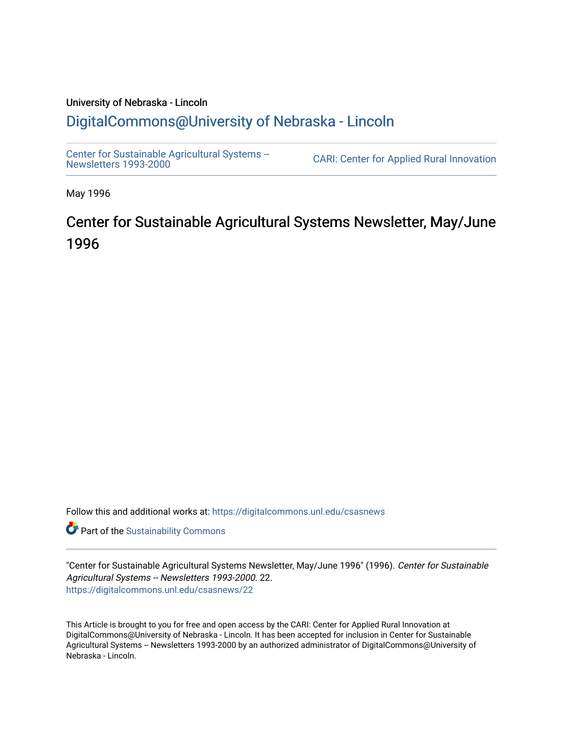## University of Nebraska - Lincoln [DigitalCommons@University of Nebraska - Lincoln](https://digitalcommons.unl.edu/)

[Center for Sustainable Agricultural Systems --](https://digitalcommons.unl.edu/csasnews)<br>Newsletters 1993-2000

CARI: Center for Applied Rural Innovation

May 1996

# Center for Sustainable Agricultural Systems Newsletter, May/June 1996

Follow this and additional works at: [https://digitalcommons.unl.edu/csasnews](https://digitalcommons.unl.edu/csasnews?utm_source=digitalcommons.unl.edu%2Fcsasnews%2F22&utm_medium=PDF&utm_campaign=PDFCoverPages) 

**Part of the [Sustainability Commons](http://network.bepress.com/hgg/discipline/1031?utm_source=digitalcommons.unl.edu%2Fcsasnews%2F22&utm_medium=PDF&utm_campaign=PDFCoverPages)** 

"Center for Sustainable Agricultural Systems Newsletter, May/June 1996" (1996). Center for Sustainable Agricultural Systems -- Newsletters 1993-2000. 22. [https://digitalcommons.unl.edu/csasnews/22](https://digitalcommons.unl.edu/csasnews/22?utm_source=digitalcommons.unl.edu%2Fcsasnews%2F22&utm_medium=PDF&utm_campaign=PDFCoverPages) 

This Article is brought to you for free and open access by the CARI: Center for Applied Rural Innovation at DigitalCommons@University of Nebraska - Lincoln. It has been accepted for inclusion in Center for Sustainable Agricultural Systems -- Newsletters 1993-2000 by an authorized administrator of DigitalCommons@University of Nebraska - Lincoln.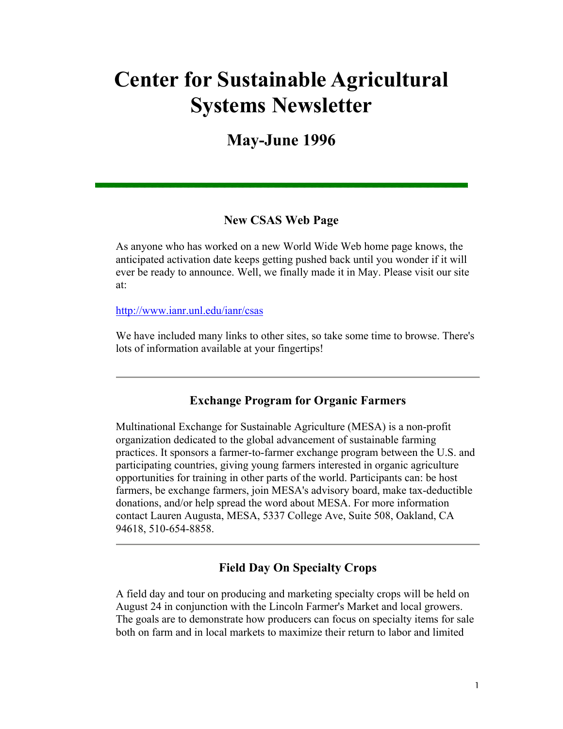# **Center for Sustainable Agricultural Systems Newsletter**

# **May-June 1996**

#### **New CSAS Web Page**

As anyone who has worked on a new World Wide Web home page knows, the anticipated activation date keeps getting pushed back until you wonder if it will ever be ready to announce. Well, we finally made it in May. Please visit our site at:

http://www.ianr.unl.edu/ianr/csas

We have included many links to other sites, so take some time to browse. There's lots of information available at your fingertips!

#### **Exchange Program for Organic Farmers**

Multinational Exchange for Sustainable Agriculture (MESA) is a non-profit organization dedicated to the global advancement of sustainable farming practices. It sponsors a farmer-to-farmer exchange program between the U.S. and participating countries, giving young farmers interested in organic agriculture opportunities for training in other parts of the world. Participants can: be host farmers, be exchange farmers, join MESA's advisory board, make tax-deductible donations, and/or help spread the word about MESA. For more information contact Lauren Augusta, MESA, 5337 College Ave, Suite 508, Oakland, CA 94618, 510-654-8858.

## **Field Day On Specialty Crops**

A field day and tour on producing and marketing specialty crops will be held on August 24 in conjunction with the Lincoln Farmer's Market and local growers. The goals are to demonstrate how producers can focus on specialty items for sale both on farm and in local markets to maximize their return to labor and limited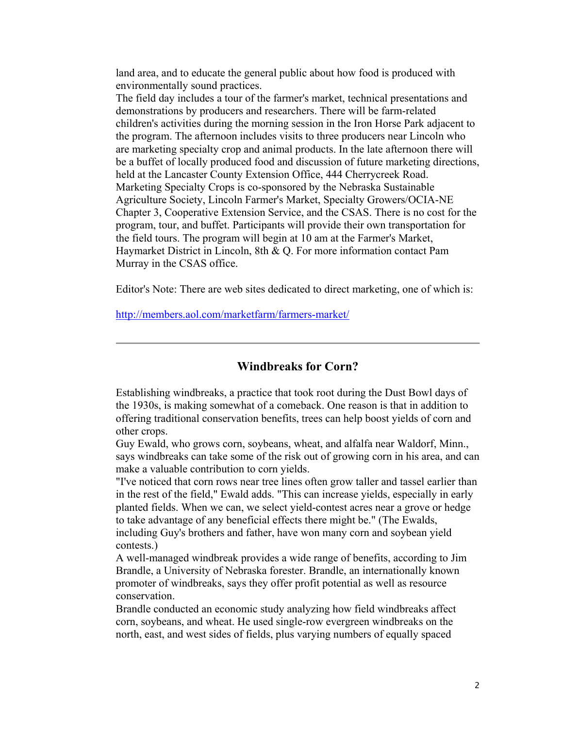land area, and to educate the general public about how food is produced with environmentally sound practices.

The field day includes a tour of the farmer's market, technical presentations and demonstrations by producers and researchers. There will be farm-related children's activities during the morning session in the Iron Horse Park adjacent to the program. The afternoon includes visits to three producers near Lincoln who are marketing specialty crop and animal products. In the late afternoon there will be a buffet of locally produced food and discussion of future marketing directions, held at the Lancaster County Extension Office, 444 Cherrycreek Road. Marketing Specialty Crops is co-sponsored by the Nebraska Sustainable Agriculture Society, Lincoln Farmer's Market, Specialty Growers/OCIA-NE Chapter 3, Cooperative Extension Service, and the CSAS. There is no cost for the program, tour, and buffet. Participants will provide their own transportation for the field tours. The program will begin at 10 am at the Farmer's Market, Haymarket District in Lincoln, 8th & Q. For more information contact Pam Murray in the CSAS office.

Editor's Note: There are web sites dedicated to direct marketing, one of which is:

http://members.aol.com/marketfarm/farmers-market/

**Windbreaks for Corn?** 

Establishing windbreaks, a practice that took root during the Dust Bowl days of the 1930s, is making somewhat of a comeback. One reason is that in addition to offering traditional conservation benefits, trees can help boost yields of corn and other crops.

Guy Ewald, who grows corn, soybeans, wheat, and alfalfa near Waldorf, Minn., says windbreaks can take some of the risk out of growing corn in his area, and can make a valuable contribution to corn yields.

"I've noticed that corn rows near tree lines often grow taller and tassel earlier than in the rest of the field," Ewald adds. "This can increase yields, especially in early planted fields. When we can, we select yield-contest acres near a grove or hedge to take advantage of any beneficial effects there might be." (The Ewalds, including Guy's brothers and father, have won many corn and soybean yield contests.)

A well-managed windbreak provides a wide range of benefits, according to Jim Brandle, a University of Nebraska forester. Brandle, an internationally known promoter of windbreaks, says they offer profit potential as well as resource conservation.

Brandle conducted an economic study analyzing how field windbreaks affect corn, soybeans, and wheat. He used single-row evergreen windbreaks on the north, east, and west sides of fields, plus varying numbers of equally spaced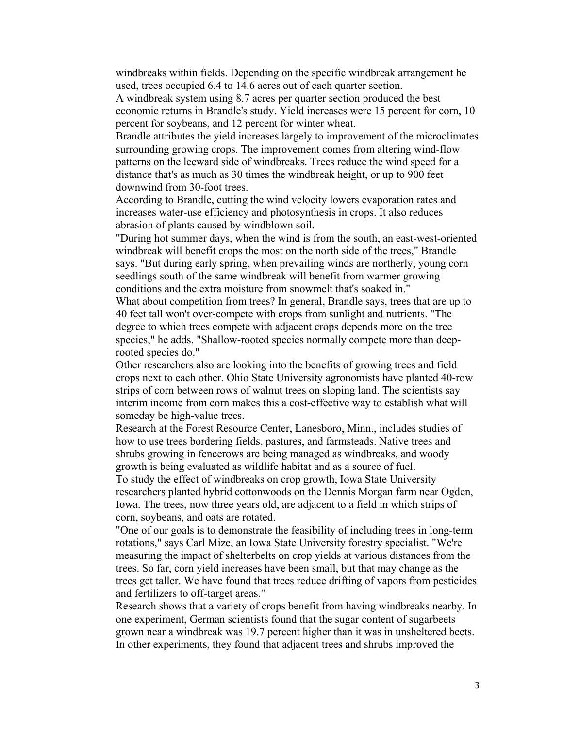windbreaks within fields. Depending on the specific windbreak arrangement he used, trees occupied 6.4 to 14.6 acres out of each quarter section.

A windbreak system using 8.7 acres per quarter section produced the best economic returns in Brandle's study. Yield increases were 15 percent for corn, 10 percent for soybeans, and 12 percent for winter wheat.

Brandle attributes the yield increases largely to improvement of the microclimates surrounding growing crops. The improvement comes from altering wind-flow patterns on the leeward side of windbreaks. Trees reduce the wind speed for a distance that's as much as 30 times the windbreak height, or up to 900 feet downwind from 30-foot trees.

According to Brandle, cutting the wind velocity lowers evaporation rates and increases water-use efficiency and photosynthesis in crops. It also reduces abrasion of plants caused by windblown soil.

"During hot summer days, when the wind is from the south, an east-west-oriented windbreak will benefit crops the most on the north side of the trees," Brandle says. "But during early spring, when prevailing winds are northerly, young corn seedlings south of the same windbreak will benefit from warmer growing conditions and the extra moisture from snowmelt that's soaked in."

What about competition from trees? In general, Brandle says, trees that are up to 40 feet tall won't over-compete with crops from sunlight and nutrients. "The degree to which trees compete with adjacent crops depends more on the tree species," he adds. "Shallow-rooted species normally compete more than deeprooted species do."

Other researchers also are looking into the benefits of growing trees and field crops next to each other. Ohio State University agronomists have planted 40-row strips of corn between rows of walnut trees on sloping land. The scientists say interim income from corn makes this a cost-effective way to establish what will someday be high-value trees.

Research at the Forest Resource Center, Lanesboro, Minn., includes studies of how to use trees bordering fields, pastures, and farmsteads. Native trees and shrubs growing in fencerows are being managed as windbreaks, and woody growth is being evaluated as wildlife habitat and as a source of fuel.

To study the effect of windbreaks on crop growth, Iowa State University researchers planted hybrid cottonwoods on the Dennis Morgan farm near Ogden, Iowa. The trees, now three years old, are adjacent to a field in which strips of corn, soybeans, and oats are rotated.

"One of our goals is to demonstrate the feasibility of including trees in long-term rotations," says Carl Mize, an Iowa State University forestry specialist. "We're measuring the impact of shelterbelts on crop yields at various distances from the trees. So far, corn yield increases have been small, but that may change as the trees get taller. We have found that trees reduce drifting of vapors from pesticides and fertilizers to off-target areas."

Research shows that a variety of crops benefit from having windbreaks nearby. In one experiment, German scientists found that the sugar content of sugarbeets grown near a windbreak was 19.7 percent higher than it was in unsheltered beets. In other experiments, they found that adjacent trees and shrubs improved the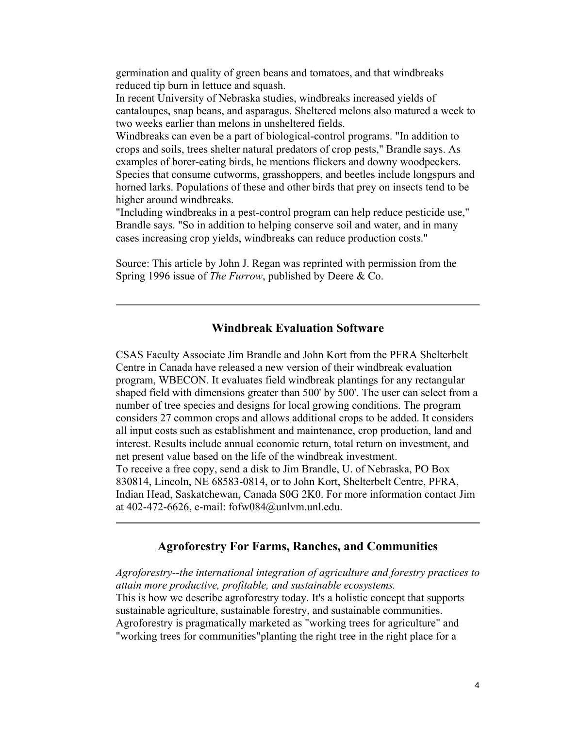germination and quality of green beans and tomatoes, and that windbreaks reduced tip burn in lettuce and squash.

In recent University of Nebraska studies, windbreaks increased yields of cantaloupes, snap beans, and asparagus. Sheltered melons also matured a week to two weeks earlier than melons in unsheltered fields.

Windbreaks can even be a part of biological-control programs. "In addition to crops and soils, trees shelter natural predators of crop pests," Brandle says. As examples of borer-eating birds, he mentions flickers and downy woodpeckers. Species that consume cutworms, grasshoppers, and beetles include longspurs and horned larks. Populations of these and other birds that prey on insects tend to be higher around windbreaks.

"Including windbreaks in a pest-control program can help reduce pesticide use," Brandle says. "So in addition to helping conserve soil and water, and in many cases increasing crop yields, windbreaks can reduce production costs."

Source: This article by John J. Regan was reprinted with permission from the Spring 1996 issue of *The Furrow*, published by Deere & Co.

#### **Windbreak Evaluation Software**

CSAS Faculty Associate Jim Brandle and John Kort from the PFRA Shelterbelt Centre in Canada have released a new version of their windbreak evaluation program, WBECON. It evaluates field windbreak plantings for any rectangular shaped field with dimensions greater than 500' by 500'. The user can select from a number of tree species and designs for local growing conditions. The program considers 27 common crops and allows additional crops to be added. It considers all input costs such as establishment and maintenance, crop production, land and interest. Results include annual economic return, total return on investment, and net present value based on the life of the windbreak investment. To receive a free copy, send a disk to Jim Brandle, U. of Nebraska, PO Box 830814, Lincoln, NE 68583-0814, or to John Kort, Shelterbelt Centre, PFRA, Indian Head, Saskatchewan, Canada S0G 2K0. For more information contact Jim at 402-472-6626, e-mail: fofw084@unlvm.unl.edu.

#### **Agroforestry For Farms, Ranches, and Communities**

*Agroforestry--the international integration of agriculture and forestry practices to attain more productive, profitable, and sustainable ecosystems.* This is how we describe agroforestry today. It's a holistic concept that supports sustainable agriculture, sustainable forestry, and sustainable communities. Agroforestry is pragmatically marketed as "working trees for agriculture" and "working trees for communities"planting the right tree in the right place for a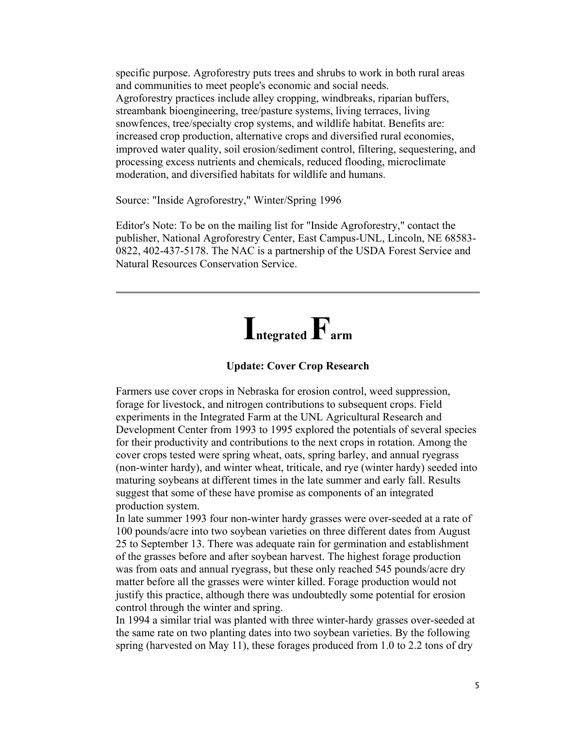specific purpose. Agroforestry puts trees and shrubs to work in both rural areas and communities to meet people's economic and social needs. Agroforestry practices include alley cropping, windbreaks, riparian buffers, streambank bioengineering, tree/pasture systems, living terraces, living snowfences, tree/specialty crop systems, and wildlife habitat. Benefits are: increased crop production, alternative crops and diversified rural economies, improved water quality, soil erosion/sediment control, filtering, sequestering, and processing excess nutrients and chemicals, reduced flooding, microclimate moderation, and diversified habitats for wildlife and humans.

Source: "Inside Agroforestry," Winter/Spring 1996

Editor's Note: To be on the mailing list for "Inside Agroforestry," contact the publisher, National Agroforestry Center, East Campus-UNL, Lincoln, NE 68583- 0822, 402-437-5178. The NAC is a partnership of the USDA Forest Service and Natural Resources Conservation Service.

# **Integrated Farm**

#### **Update: Cover Crop Research**

Farmers use cover crops in Nebraska for erosion control, weed suppression, forage for livestock, and nitrogen contributions to subsequent crops. Field experiments in the Integrated Farm at the UNL Agricultural Research and Development Center from 1993 to 1995 explored the potentials of several species for their productivity and contributions to the next crops in rotation. Among the cover crops tested were spring wheat, oats, spring barley, and annual ryegrass (non-winter hardy), and winter wheat, triticale, and rye (winter hardy) seeded into maturing soybeans at different times in the late summer and early fall. Results suggest that some of these have promise as components of an integrated production system.

In late summer 1993 four non-winter hardy grasses were over-seeded at a rate of 100 pounds/acre into two soybean varieties on three different dates from August 25 to September 13. There was adequate rain for germination and establishment of the grasses before and after soybean harvest. The highest forage production was from oats and annual ryegrass, but these only reached 545 pounds/acre dry matter before all the grasses were winter killed. Forage production would not justify this practice, although there was undoubtedly some potential for erosion control through the winter and spring.

In 1994 a similar trial was planted with three winter-hardy grasses over-seeded at the same rate on two planting dates into two soybean varieties. By the following spring (harvested on May 11), these forages produced from 1.0 to 2.2 tons of dry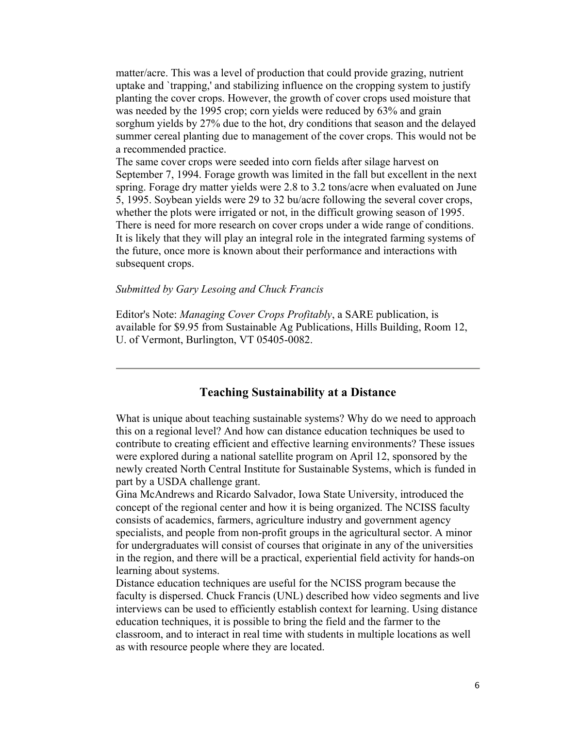matter/acre. This was a level of production that could provide grazing, nutrient uptake and `trapping,' and stabilizing influence on the cropping system to justify planting the cover crops. However, the growth of cover crops used moisture that was needed by the 1995 crop; corn yields were reduced by 63% and grain sorghum yields by 27% due to the hot, dry conditions that season and the delayed summer cereal planting due to management of the cover crops. This would not be a recommended practice.

The same cover crops were seeded into corn fields after silage harvest on September 7, 1994. Forage growth was limited in the fall but excellent in the next spring. Forage dry matter yields were 2.8 to 3.2 tons/acre when evaluated on June 5, 1995. Soybean yields were 29 to 32 bu/acre following the several cover crops, whether the plots were irrigated or not, in the difficult growing season of 1995. There is need for more research on cover crops under a wide range of conditions. It is likely that they will play an integral role in the integrated farming systems of the future, once more is known about their performance and interactions with subsequent crops.

#### *Submitted by Gary Lesoing and Chuck Francis*

Editor's Note: *Managing Cover Crops Profitably*, a SARE publication, is available for \$9.95 from Sustainable Ag Publications, Hills Building, Room 12, U. of Vermont, Burlington, VT 05405-0082.

#### **Teaching Sustainability at a Distance**

What is unique about teaching sustainable systems? Why do we need to approach this on a regional level? And how can distance education techniques be used to contribute to creating efficient and effective learning environments? These issues were explored during a national satellite program on April 12, sponsored by the newly created North Central Institute for Sustainable Systems, which is funded in part by a USDA challenge grant.

Gina McAndrews and Ricardo Salvador, Iowa State University, introduced the concept of the regional center and how it is being organized. The NCISS faculty consists of academics, farmers, agriculture industry and government agency specialists, and people from non-profit groups in the agricultural sector. A minor for undergraduates will consist of courses that originate in any of the universities in the region, and there will be a practical, experiential field activity for hands-on learning about systems.

Distance education techniques are useful for the NCISS program because the faculty is dispersed. Chuck Francis (UNL) described how video segments and live interviews can be used to efficiently establish context for learning. Using distance education techniques, it is possible to bring the field and the farmer to the classroom, and to interact in real time with students in multiple locations as well as with resource people where they are located.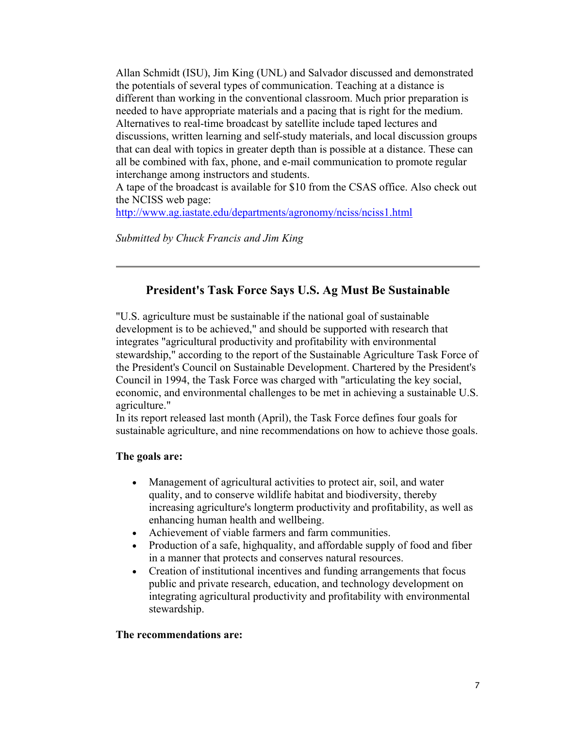Allan Schmidt (ISU), Jim King (UNL) and Salvador discussed and demonstrated the potentials of several types of communication. Teaching at a distance is different than working in the conventional classroom. Much prior preparation is needed to have appropriate materials and a pacing that is right for the medium. Alternatives to real-time broadcast by satellite include taped lectures and discussions, written learning and self-study materials, and local discussion groups that can deal with topics in greater depth than is possible at a distance. These can all be combined with fax, phone, and e-mail communication to promote regular interchange among instructors and students.

A tape of the broadcast is available for \$10 from the CSAS office. Also check out the NCISS web page:

http://www.ag.iastate.edu/departments/agronomy/nciss/nciss1.html

*Submitted by Chuck Francis and Jim King*

## **President's Task Force Says U.S. Ag Must Be Sustainable**

"U.S. agriculture must be sustainable if the national goal of sustainable development is to be achieved," and should be supported with research that integrates "agricultural productivity and profitability with environmental stewardship," according to the report of the Sustainable Agriculture Task Force of the President's Council on Sustainable Development. Chartered by the President's Council in 1994, the Task Force was charged with "articulating the key social, economic, and environmental challenges to be met in achieving a sustainable U.S. agriculture."

In its report released last month (April), the Task Force defines four goals for sustainable agriculture, and nine recommendations on how to achieve those goals.

#### **The goals are:**

- Management of agricultural activities to protect air, soil, and water quality, and to conserve wildlife habitat and biodiversity, thereby increasing agriculture's longterm productivity and profitability, as well as enhancing human health and wellbeing.
- Achievement of viable farmers and farm communities.
- Production of a safe, highquality, and affordable supply of food and fiber in a manner that protects and conserves natural resources.
- Creation of institutional incentives and funding arrangements that focus public and private research, education, and technology development on integrating agricultural productivity and profitability with environmental stewardship.

#### **The recommendations are:**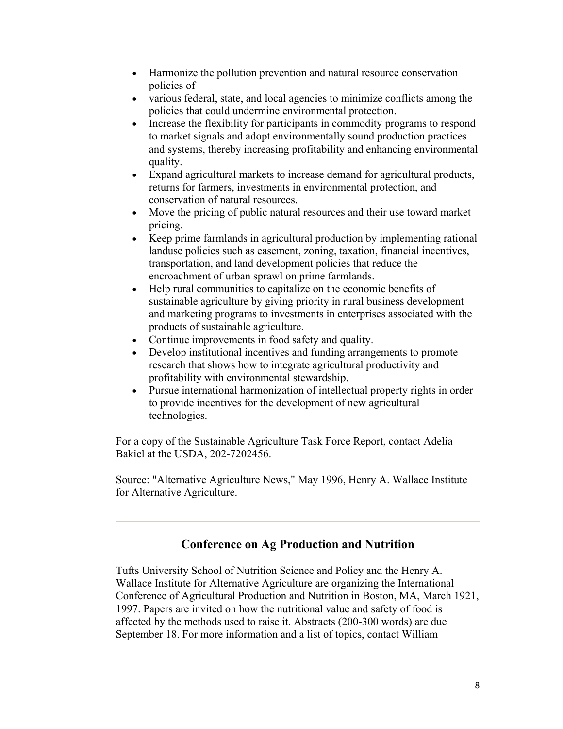- Harmonize the pollution prevention and natural resource conservation policies of
- various federal, state, and local agencies to minimize conflicts among the policies that could undermine environmental protection.
- Increase the flexibility for participants in commodity programs to respond to market signals and adopt environmentally sound production practices and systems, thereby increasing profitability and enhancing environmental quality.
- Expand agricultural markets to increase demand for agricultural products, returns for farmers, investments in environmental protection, and conservation of natural resources.
- Move the pricing of public natural resources and their use toward market pricing.
- Keep prime farmlands in agricultural production by implementing rational landuse policies such as easement, zoning, taxation, financial incentives, transportation, and land development policies that reduce the encroachment of urban sprawl on prime farmlands.
- Help rural communities to capitalize on the economic benefits of sustainable agriculture by giving priority in rural business development and marketing programs to investments in enterprises associated with the products of sustainable agriculture.
- Continue improvements in food safety and quality.
- Develop institutional incentives and funding arrangements to promote research that shows how to integrate agricultural productivity and profitability with environmental stewardship.
- Pursue international harmonization of intellectual property rights in order to provide incentives for the development of new agricultural technologies.

For a copy of the Sustainable Agriculture Task Force Report, contact Adelia Bakiel at the USDA, 202-7202456.

Source: "Alternative Agriculture News," May 1996, Henry A. Wallace Institute for Alternative Agriculture.

#### **Conference on Ag Production and Nutrition**

Tufts University School of Nutrition Science and Policy and the Henry A. Wallace Institute for Alternative Agriculture are organizing the International Conference of Agricultural Production and Nutrition in Boston, MA, March 1921, 1997. Papers are invited on how the nutritional value and safety of food is affected by the methods used to raise it. Abstracts (200-300 words) are due September 18. For more information and a list of topics, contact William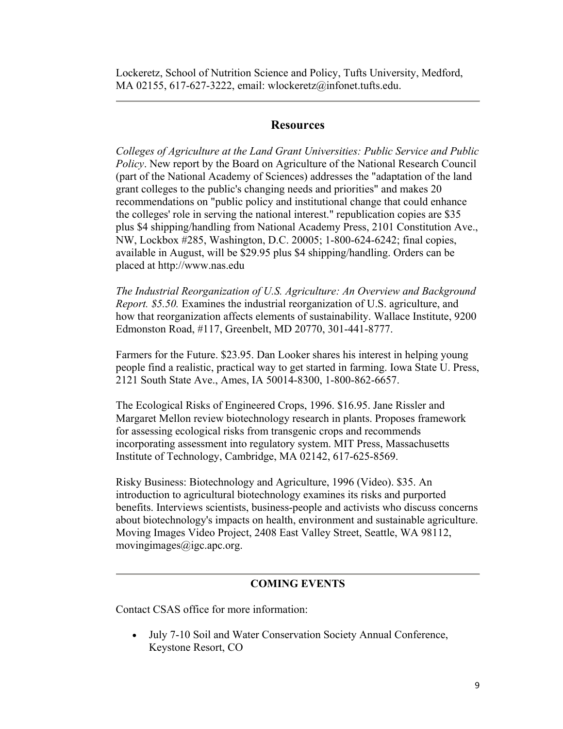Lockeretz, School of Nutrition Science and Policy, Tufts University, Medford, MA 02155, 617-627-3222, email: wlockeretz@infonet.tufts.edu.

#### **Resources**

*Colleges of Agriculture at the Land Grant Universities: Public Service and Public Policy*. New report by the Board on Agriculture of the National Research Council (part of the National Academy of Sciences) addresses the "adaptation of the land grant colleges to the public's changing needs and priorities" and makes 20 recommendations on "public policy and institutional change that could enhance the colleges' role in serving the national interest." republication copies are \$35 plus \$4 shipping/handling from National Academy Press, 2101 Constitution Ave., NW, Lockbox #285, Washington, D.C. 20005; 1-800-624-6242; final copies, available in August, will be \$29.95 plus \$4 shipping/handling. Orders can be placed at http://www.nas.edu

*The Industrial Reorganization of U.S. Agriculture: An Overview and Background Report. \$5.50.* Examines the industrial reorganization of U.S. agriculture, and how that reorganization affects elements of sustainability. Wallace Institute, 9200 Edmonston Road, #117, Greenbelt, MD 20770, 301-441-8777.

Farmers for the Future. \$23.95. Dan Looker shares his interest in helping young people find a realistic, practical way to get started in farming. Iowa State U. Press, 2121 South State Ave., Ames, IA 50014-8300, 1-800-862-6657.

The Ecological Risks of Engineered Crops, 1996. \$16.95. Jane Rissler and Margaret Mellon review biotechnology research in plants. Proposes framework for assessing ecological risks from transgenic crops and recommends incorporating assessment into regulatory system. MIT Press, Massachusetts Institute of Technology, Cambridge, MA 02142, 617-625-8569.

Risky Business: Biotechnology and Agriculture, 1996 (Video). \$35. An introduction to agricultural biotechnology examines its risks and purported benefits. Interviews scientists, business-people and activists who discuss concerns about biotechnology's impacts on health, environment and sustainable agriculture. Moving Images Video Project, 2408 East Valley Street, Seattle, WA 98112, movingimages@igc.apc.org.

#### **COMING EVENTS**

Contact CSAS office for more information:

• July 7-10 Soil and Water Conservation Society Annual Conference, Keystone Resort, CO